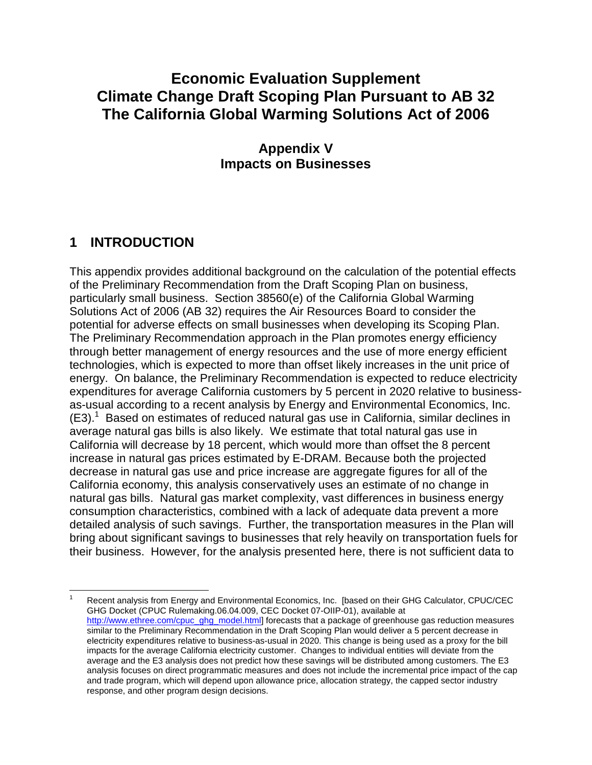# **Climate Change Draft Scoping Plan Pursuant to AB 32 The California Global Warming Solutions Act of 2006 Economic Evaluation Supplement**

## **Appendix V Impacts on Businesses**

## **1 INTRODUCTION**

 This appendix provides additional background on the calculation of the potential effects of the Preliminary Recommendation from the Draft Scoping Plan on business, particularly small business. Section 38560(e) of the California Global Warming Solutions Act of 2006 (AB 32) requires the Air Resources Board to consider the potential for adverse effects on small businesses when developing its Scoping Plan. The Preliminary Recommendation approach in the Plan promotes energy efficiency through better management of energy resources and the use of more energy efficient technologies, which is expected to more than offset likely increases in the unit price of energy. On balance, the Preliminary Recommendation is expected to reduce electricity expenditures for average California customers by 5 percent in 2020 relative to business- as-usual according to a recent analysis by Energy and Environmental Economics, Inc.  $(E3).$ <sup>1</sup> Based on estimates of reduced natural gas use in California, similar declines in average natural gas bills is also likely. We estimate that total natural gas use in California will decrease by 18 percent, which would more than offset the 8 percent increase in natural gas prices estimated by E-DRAM. Because both the projected decrease in natural gas use and price increase are aggregate figures for all of the California economy, this analysis conservatively uses an estimate of no change in natural gas bills. Natural gas market complexity, vast differences in business energy consumption characteristics, combined with a lack of adequate data prevent a more detailed analysis of such savings. Further, the transportation measures in the Plan will bring about significant savings to businesses that rely heavily on transportation fuels for their business. However, for the analysis presented here, there is not sufficient data to

 $\overline{a}$  GHG Docket (CPUC Rulemaking.06.04.009, CEC Docket 07-OIIP-01), available at [http://www.ethree.com/cpuc\\_ghg\\_model.html](http://www.ethree.com/cpuc_ghg_model.html)] forecasts that a package of greenhouse gas reduction measures similar to the Preliminary Recommendation in the Draft Scoping Plan would deliver a 5 percent decrease in electricity expenditures relative to business-as-usual in 2020. This change is being used as a proxy for the bill impacts for the average California electricity customer. Changes to individual entities will deviate from the average and the E3 analysis does not predict how these savings will be distributed among customers. The E3 analysis focuses on direct programmatic measures and does not include the incremental price impact of the cap and trade program, which will depend upon allowance price, allocation strategy, the capped sector industry response, and other program design decisions. Recent analysis from Energy and Environmental Economics, Inc. [based on their GHG Calculator, CPUC/CEC 1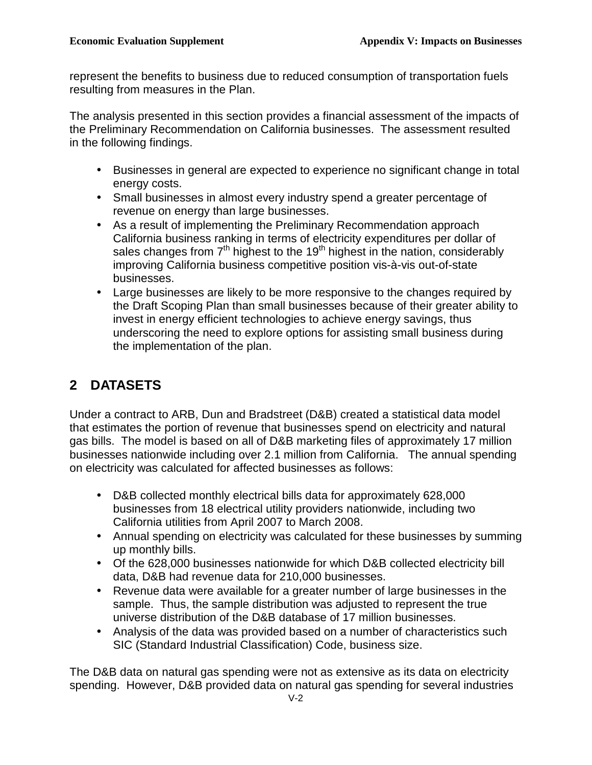represent the benefits to business due to reduced consumption of transportation fuels resulting from measures in the Plan.

 The analysis presented in this section provides a financial assessment of the impacts of the Preliminary Recommendation on California businesses. The assessment resulted in the following findings.

- • Businesses in general are expected to experience no significant change in total energy costs.
- • Small businesses in almost every industry spend a greater percentage of revenue on energy than large businesses.
- • As a result of implementing the Preliminary Recommendation approach California business ranking in terms of electricity expenditures per dollar of sales changes from  $7<sup>th</sup>$  highest to the 19<sup>th</sup> highest in the nation, considerably improving California business competitive position vis-à-vis out-of-state businesses.
- • Large businesses are likely to be more responsive to the changes required by the Draft Scoping Plan than small businesses because of their greater ability to invest in energy efficient technologies to achieve energy savings, thus underscoring the need to explore options for assisting small business during the implementation of the plan.

# **2 DATASETS**

 Under a contract to ARB, Dun and Bradstreet (D&B) created a statistical data model that estimates the portion of revenue that businesses spend on electricity and natural gas bills. The model is based on all of D&B marketing files of approximately 17 million businesses nationwide including over 2.1 million from California. The annual spending on electricity was calculated for affected businesses as follows:

- • D&B collected monthly electrical bills data for approximately 628,000 businesses from 18 electrical utility providers nationwide, including two California utilities from April 2007 to March 2008.
- • Annual spending on electricity was calculated for these businesses by summing up monthly bills.
- • Of the 628,000 businesses nationwide for which D&B collected electricity bill data, D&B had revenue data for 210,000 businesses.
- • Revenue data were available for a greater number of large businesses in the sample. Thus, the sample distribution was adjusted to represent the true universe distribution of the D&B database of 17 million businesses.
- • Analysis of the data was provided based on a number of characteristics such SIC (Standard Industrial Classification) Code, business size.

 The D&B data on natural gas spending were not as extensive as its data on electricity spending. However, D&B provided data on natural gas spending for several industries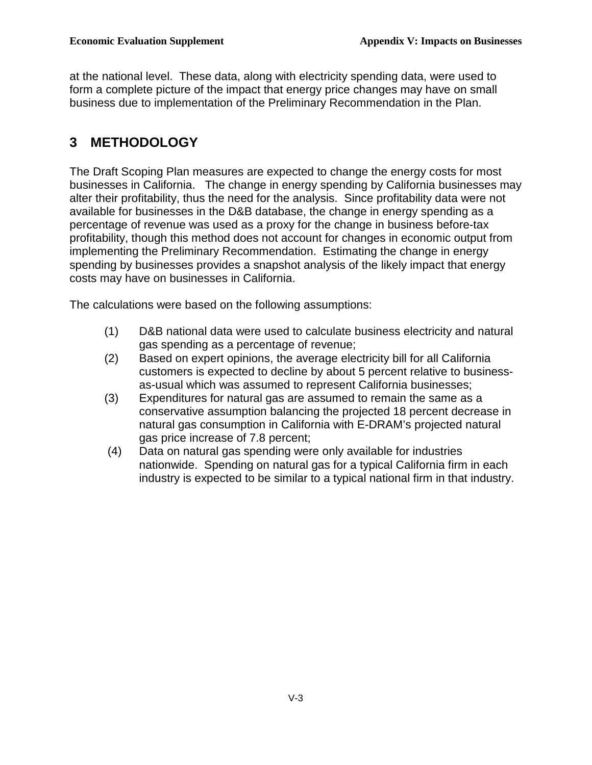at the national level. These data, along with electricity spending data, were used to form a complete picture of the impact that energy price changes may have on small business due to implementation of the Preliminary Recommendation in the Plan.

# **3 METHODOLOGY**

 The Draft Scoping Plan measures are expected to change the energy costs for most businesses in California. The change in energy spending by California businesses may alter their profitability, thus the need for the analysis. Since profitability data were not available for businesses in the D&B database, the change in energy spending as a percentage of revenue was used as a proxy for the change in business before-tax profitability, though this method does not account for changes in economic output from implementing the Preliminary Recommendation. Estimating the change in energy spending by businesses provides a snapshot analysis of the likely impact that energy costs may have on businesses in California.

The calculations were based on the following assumptions:

- $(1)$  gas spending as a percentage of revenue; D&B national data were used to calculate business electricity and natural
- $(2)$  customers is expected to decline by about 5 percent relative to business- as-usual which was assumed to represent California businesses; Based on expert opinions, the average electricity bill for all California
- $(3)$  conservative assumption balancing the projected 18 percent decrease in natural gas consumption in California with E-DRAM's projected natural gas price increase of 7.8 percent; Expenditures for natural gas are assumed to remain the same as a
- $(4)$  nationwide. Spending on natural gas for a typical California firm in each industry is expected to be similar to a typical national firm in that industry. Data on natural gas spending were only available for industries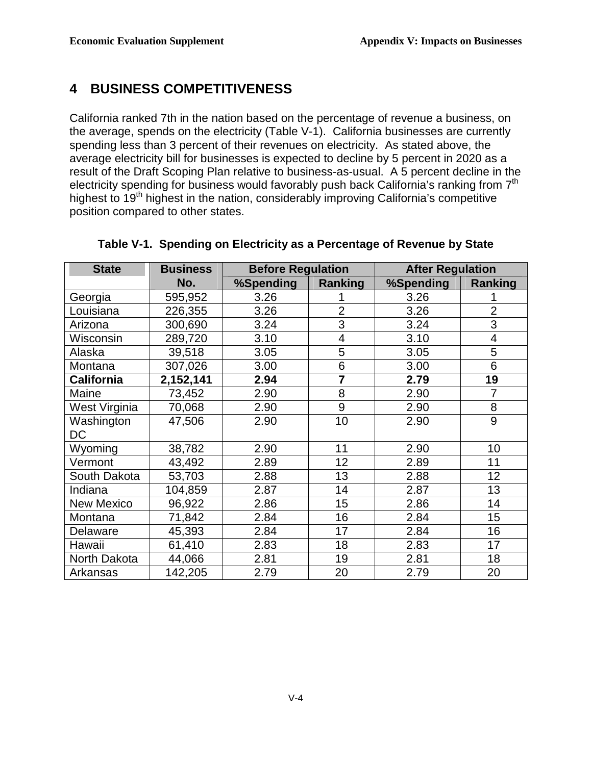### **4 BUSINESS COMPETITIVENESS**

 California ranked 7th in the nation based on the percentage of revenue a business, on the average, spends on the electricity (Table V-1). California businesses are currently spending less than 3 percent of their revenues on electricity. As stated above, the average electricity bill for businesses is expected to decline by 5 percent in 2020 as a result of the Draft Scoping Plan relative to business-as-usual. A 5 percent decline in the electricity spending for business would favorably push back California's ranking from  $7<sup>th</sup>$ highest to 19<sup>th</sup> highest in the nation, considerably improving California's competitive position compared to other states.

| <b>State</b>      | <b>Business</b> | <b>Before Regulation</b> |                | <b>After Regulation</b> |                |
|-------------------|-----------------|--------------------------|----------------|-------------------------|----------------|
|                   | No.             | %Spending                | Ranking        | %Spending               | Ranking        |
| Georgia           | 595,952         | 3.26                     |                | 3.26                    |                |
| Louisiana         | 226,355         | 3.26                     | $\overline{2}$ | 3.26                    | $\overline{2}$ |
| Arizona           | 300,690         | 3.24                     | 3              | 3.24                    | 3              |
| Wisconsin         | 289,720         | 3.10                     | $\overline{4}$ | 3.10                    | 4              |
| Alaska            | 39,518          | 3.05                     | 5              | 3.05                    | 5              |
| Montana           | 307,026         | 3.00                     | 6              | 3.00                    | 6              |
| <b>California</b> | 2,152,141       | 2.94                     | 7              | 2.79                    | 19             |
| Maine             | 73,452          | 2.90                     | 8              | 2.90                    | $\overline{7}$ |
| West Virginia     | 70,068          | 2.90                     | 9              | 2.90                    | 8              |
| Washington        | 47,506          | 2.90                     | 10             | 2.90                    | 9              |
| DC                |                 |                          |                |                         |                |
| Wyoming           | 38,782          | 2.90                     | 11             | 2.90                    | 10             |
| Vermont           | 43,492          | 2.89                     | 12             | 2.89                    | 11             |
| South Dakota      | 53,703          | 2.88                     | 13             | 2.88                    | 12             |
| Indiana           | 104,859         | 2.87                     | 14             | 2.87                    | 13             |
| New Mexico        | 96,922          | 2.86                     | 15             | 2.86                    | 14             |
| Montana           | 71,842          | 2.84                     | 16             | 2.84                    | 15             |
| Delaware          | 45,393          | 2.84                     | 17             | 2.84                    | 16             |
| Hawaii            | 61,410          | 2.83                     | 18             | 2.83                    | 17             |
| North Dakota      | 44,066          | 2.81                     | 19             | 2.81                    | 18             |
| Arkansas          | 142,205         | 2.79                     | 20             | 2.79                    | 20             |

#### **Table V-1. Spending on Electricity as a Percentage of Revenue by State**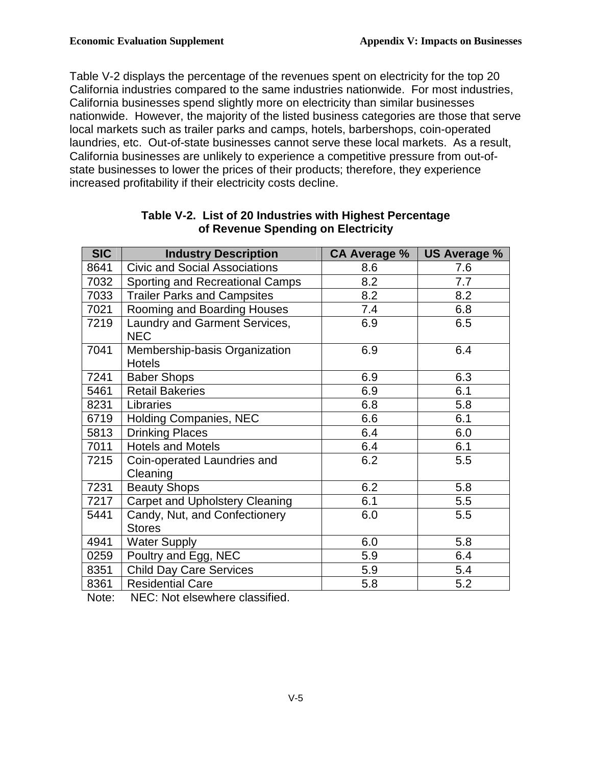Table V-2 displays the percentage of the revenues spent on electricity for the top 20 California industries compared to the same industries nationwide. For most industries, California businesses spend slightly more on electricity than similar businesses nationwide. However, the majority of the listed business categories are those that serve local markets such as trailer parks and camps, hotels, barbershops, coin-operated laundries, etc. Out-of-state businesses cannot serve these local markets. As a result, California businesses are unlikely to experience a competitive pressure from out-of- state businesses to lower the prices of their products; therefore, they experience increased profitability if their electricity costs decline.

| <b>SIC</b> | <b>Industry Description</b>                              | CA Average % | <b>US Average %</b> |
|------------|----------------------------------------------------------|--------------|---------------------|
| 8641       | <b>Civic and Social Associations</b>                     | 8.6          | 7.6                 |
| 7032       | Sporting and Recreational Camps                          | 8.2          | 7.7                 |
| 7033       | <b>Trailer Parks and Campsites</b>                       | 8.2          | 8.2                 |
| 7021       | Rooming and Boarding Houses                              | 7.4          | 6.8                 |
| 7219       | Laundry and Garment Services,<br><b>NEC</b>              | 6.9          | 6.5                 |
| 7041       | Membership-basis Organization<br><b>Hotels</b>           | 6.9          | 6.4                 |
| 7241       | <b>Baber Shops</b>                                       | 6.9          | 6.3                 |
| 5461       | <b>Retail Bakeries</b>                                   | 6.9          | 6.1                 |
| 8231       | Libraries                                                | 6.8          | 5.8                 |
| 6719       | <b>Holding Companies, NEC</b>                            | 6.6          | 6.1                 |
| 5813       | <b>Drinking Places</b>                                   | 6.4          | 6.0                 |
| 7011       | <b>Hotels and Motels</b>                                 | 6.4          | 6.1                 |
| 7215       | Coin-operated Laundries and<br>Cleaning                  | 6.2          | 5.5                 |
| 7231       | <b>Beauty Shops</b>                                      | 6.2          | 5.8                 |
| 7217       | <b>Carpet and Upholstery Cleaning</b>                    | 6.1          | 5.5                 |
| 5441       | Candy, Nut, and Confectionery<br><b>Stores</b>           | 6.0          | 5.5                 |
| 4941       | <b>Water Supply</b>                                      | 6.0          | 5.8                 |
| 0259       | Poultry and Egg, NEC                                     | 5.9          | 6.4                 |
| 8351       | <b>Child Day Care Services</b>                           | 5.9          | 5.4                 |
| 8361       | <b>Residential Care</b><br>$\mathbf{r}$ and $\mathbf{r}$ | 5.8          | 5.2                 |

#### **Table V-2. List of 20 Industries with Highest Percentage of Revenue Spending on Electricity**

Note: NEC: Not elsewhere classified.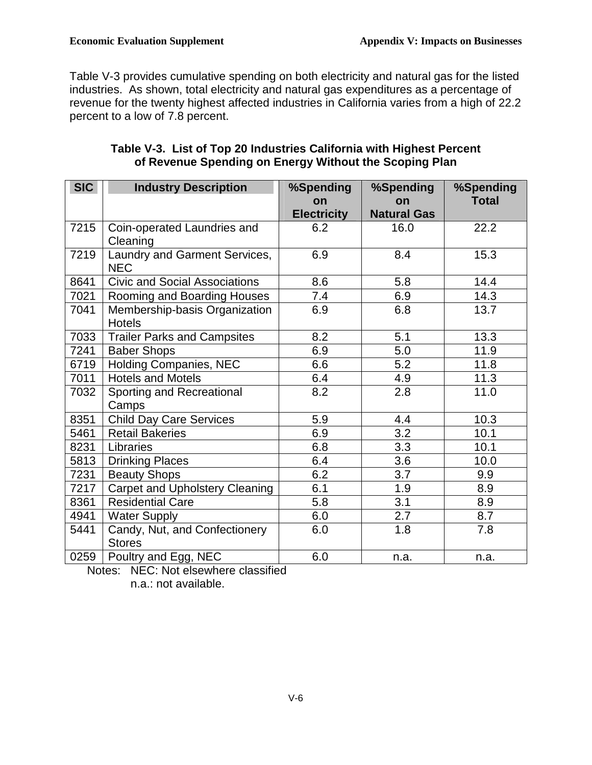Table V-3 provides cumulative spending on both electricity and natural gas for the listed industries. As shown, total electricity and natural gas expenditures as a percentage of revenue for the twenty highest affected industries in California varies from a high of 22.2 percent to a low of 7.8 percent.

| <b>SIC</b> | <b>Industry Description</b>                    | %Spending          | %Spending          | %Spending    |
|------------|------------------------------------------------|--------------------|--------------------|--------------|
|            |                                                | on                 | on                 | <b>Total</b> |
|            |                                                | <b>Electricity</b> | <b>Natural Gas</b> |              |
| 7215       | Coin-operated Laundries and<br>Cleaning        | 6.2                | 16.0               | 22.2         |
| 7219       | Laundry and Garment Services,<br><b>NEC</b>    | 6.9                | 8.4                | 15.3         |
| 8641       | <b>Civic and Social Associations</b>           | 8.6                | 5.8                | 14.4         |
| 7021       | Rooming and Boarding Houses                    | 7.4                | 6.9                | 14.3         |
| 7041       | Membership-basis Organization<br><b>Hotels</b> | 6.9                | 6.8                | 13.7         |
| 7033       | <b>Trailer Parks and Campsites</b>             | 8.2                | 5.1                | 13.3         |
| 7241       | <b>Baber Shops</b>                             | 6.9                | 5.0                | 11.9         |
| 6719       | <b>Holding Companies, NEC</b>                  | 6.6                | 5.2                | 11.8         |
| 7011       | <b>Hotels and Motels</b>                       | 6.4                | 4.9                | 11.3         |
| 7032       | Sporting and Recreational<br>Camps             | 8.2                | 2.8                | 11.0         |
| 8351       | <b>Child Day Care Services</b>                 | 5.9                | 4.4                | 10.3         |
| 5461       | <b>Retail Bakeries</b>                         | 6.9                | 3.2                | 10.1         |
| 8231       | Libraries                                      | 6.8                | 3.3                | 10.1         |
| 5813       | <b>Drinking Places</b>                         | 6.4                | 3.6                | 10.0         |
| 7231       | <b>Beauty Shops</b>                            | 6.2                | 3.7                | 9.9          |
| 7217       | <b>Carpet and Upholstery Cleaning</b>          | 6.1                | 1.9                | 8.9          |
| 8361       | <b>Residential Care</b>                        | 5.8                | 3.1                | 8.9          |
| 4941       | <b>Water Supply</b>                            | 6.0                | 2.7                | 8.7          |
| 5441       | Candy, Nut, and Confectionery<br><b>Stores</b> | 6.0                | 1.8                | 7.8          |
| 0259       | Poultry and Egg, NEC                           | 6.0                | n.a.               | n.a.         |

### **Table V-3. List of Top 20 Industries California with Highest Percent of Revenue Spending on Energy Without the Scoping Plan**

Notes: NEC: Not elsewhere classified

n.a.: not available.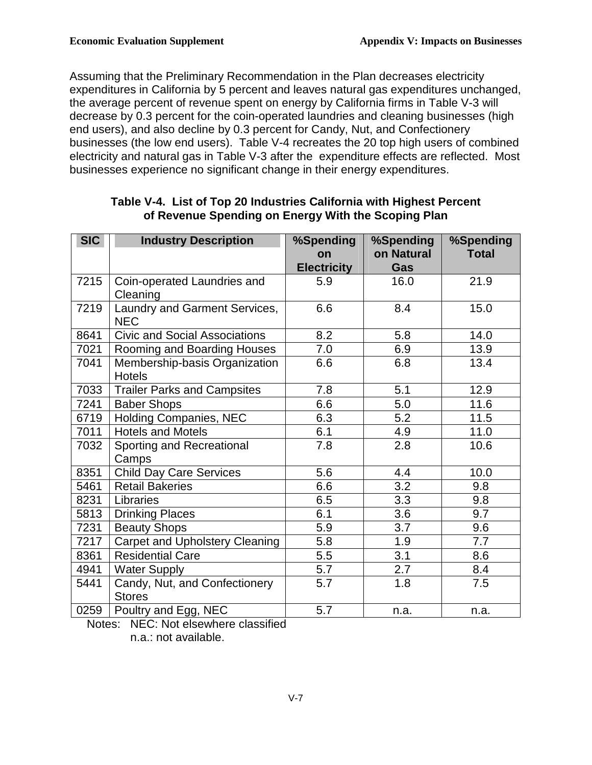Assuming that the Preliminary Recommendation in the Plan decreases electricity expenditures in California by 5 percent and leaves natural gas expenditures unchanged, the average percent of revenue spent on energy by California firms in Table V-3 will decrease by 0.3 percent for the coin-operated laundries and cleaning businesses (high end users), and also decline by 0.3 percent for Candy, Nut, and Confectionery businesses (the low end users). Table V-4 recreates the 20 top high users of combined electricity and natural gas in Table V-3 after the expenditure effects are reflected. Most businesses experience no significant change in their energy expenditures.

| <b>SIC</b> | <b>Industry Description</b>                    | %Spending<br>on<br><b>Electricity</b> | %Spending<br>on Natural<br>Gas | %Spending<br><b>Total</b> |
|------------|------------------------------------------------|---------------------------------------|--------------------------------|---------------------------|
| 7215       | Coin-operated Laundries and<br>Cleaning        | 5.9                                   | 16.0                           | 21.9                      |
| 7219       | Laundry and Garment Services,<br><b>NEC</b>    | 6.6                                   | 8.4                            | 15.0                      |
| 8641       | <b>Civic and Social Associations</b>           | 8.2                                   | 5.8                            | 14.0                      |
| 7021       | Rooming and Boarding Houses                    | 7.0                                   | 6.9                            | 13.9                      |
| 7041       | Membership-basis Organization<br><b>Hotels</b> | 6.6                                   | 6.8                            | 13.4                      |
| 7033       | <b>Trailer Parks and Campsites</b>             | 7.8                                   | 5.1                            | 12.9                      |
| 7241       | <b>Baber Shops</b>                             | 6.6                                   | 5.0                            | 11.6                      |
| 6719       | Holding Companies, NEC                         | 6.3                                   | 5.2                            | $11.5$                    |
| 7011       | <b>Hotels and Motels</b>                       | 6.1                                   | 4.9                            | 11.0                      |
| 7032       | Sporting and Recreational<br>Camps             | 7.8                                   | 2.8                            | 10.6                      |
| 8351       | <b>Child Day Care Services</b>                 | 5.6                                   | 4.4                            | 10.0                      |
| 5461       | <b>Retail Bakeries</b>                         | 6.6                                   | 3.2                            | 9.8                       |
| 8231       | Libraries                                      | 6.5                                   | 3.3                            | 9.8                       |
| 5813       | <b>Drinking Places</b>                         | 6.1                                   | 3.6                            | 9.7                       |
| 7231       | <b>Beauty Shops</b>                            | 5.9                                   | 3.7                            | 9.6                       |
| 7217       | <b>Carpet and Upholstery Cleaning</b>          | 5.8                                   | 1.9                            | 7.7                       |
| 8361       | <b>Residential Care</b>                        | 5.5                                   | 3.1                            | 8.6                       |
| 4941       | <b>Water Supply</b>                            | 5.7                                   | 2.7                            | 8.4                       |
| 5441       | Candy, Nut, and Confectionery<br><b>Stores</b> | 5.7                                   | 1.8                            | 7.5                       |
| 0259       | Poultry and Egg, NEC                           | 5.7                                   | n.a.                           | n.a.                      |

#### **Table V-4. List of Top 20 Industries California with Highest Percent of Revenue Spending on Energy With the Scoping Plan**

 Notes: NEC: Not elsewhere classified n.a.: not available.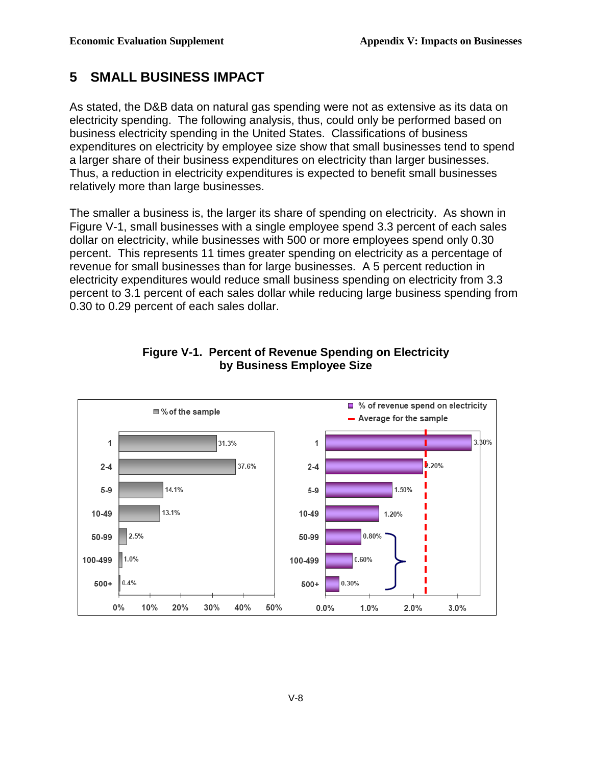#### **5 SMALL BUSINESS IMPACT**

 As stated, the D&B data on natural gas spending were not as extensive as its data on electricity spending. The following analysis, thus, could only be performed based on business electricity spending in the United States. Classifications of business expenditures on electricity by employee size show that small businesses tend to spend a larger share of their business expenditures on electricity than larger businesses. Thus, a reduction in electricity expenditures is expected to benefit small businesses relatively more than large businesses.

 The smaller a business is, the larger its share of spending on electricity. As shown in Figure V-1, small businesses with a single employee spend 3.3 percent of each sales dollar on electricity, while businesses with 500 or more employees spend only 0.30 percent. This represents 11 times greater spending on electricity as a percentage of revenue for small businesses than for large businesses. A 5 percent reduction in electricity expenditures would reduce small business spending on electricity from 3.3 percent to 3.1 percent of each sales dollar while reducing large business spending from 0.30 to 0.29 percent of each sales dollar.



#### **Figure V-1. Percent of Revenue Spending on Electricity by Business Employee Size**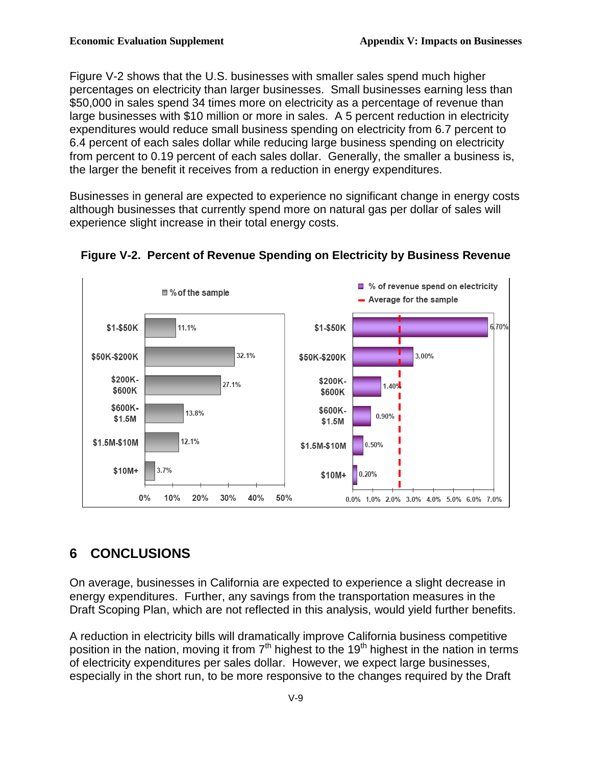Figure V-2 shows that the U.S. businesses with smaller sales spend much higher percentages on electricity than larger businesses. Small businesses earning less than \$50,000 in sales spend 34 times more on electricity as a percentage of revenue than large businesses with \$10 million or more in sales. A 5 percent reduction in electricity expenditures would reduce small business spending on electricity from 6.7 percent to 6.4 percent of each sales dollar while reducing large business spending on electricity from percent to 0.19 percent of each sales dollar. Generally, the smaller a business is, the larger the benefit it receives from a reduction in energy expenditures.

 Businesses in general are expected to experience no significant change in energy costs although businesses that currently spend more on natural gas per dollar of sales will experience slight increase in their total energy costs.





# **6 CONCLUSIONS**

 On average, businesses in California are expected to experience a slight decrease in energy expenditures. Further, any savings from the transportation measures in the Draft Scoping Plan, which are not reflected in this analysis, would yield further benefits.

 A reduction in electricity bills will dramatically improve California business competitive position in the nation, moving it from  $7<sup>th</sup>$  highest to the 19<sup>th</sup> highest in the nation in terms of electricity expenditures per sales dollar. However, we expect large businesses, especially in the short run, to be more responsive to the changes required by the Draft